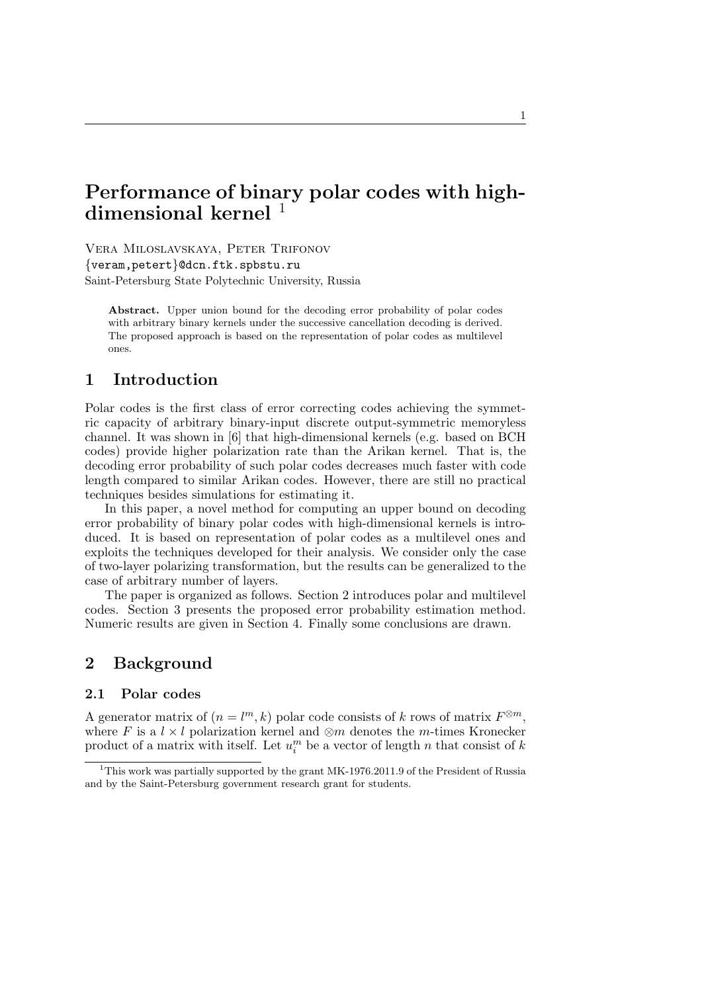# **Performance of binary polar codes with highdimensional kernel** <sup>1</sup>

Vera Miloslavskaya, Peter Trifonov *{*veram,petert*}*@dcn.ftk.spbstu.ru Saint-Petersburg State Polytechnic University, Russia

**Abstract.** Upper union bound for the decoding error probability of polar codes with arbitrary binary kernels under the successive cancellation decoding is derived. The proposed approach is based on the representation of polar codes as multilevel ones.

# **1 Introduction**

Polar codes is the first class of error correcting codes achieving the symmetric capacity of arbitrary binary-input discrete output-symmetric memoryless channel. It was shown in [6] that high-dimensional kernels (e.g. based on BCH codes) provide higher polarization rate than the Arikan kernel. That is, the decoding error probability of such polar codes decreases much faster with code length compared to similar Arikan codes. However, there are still no practical techniques besides simulations for estimating it.

In this paper, a novel method for computing an upper bound on decoding error probability of binary polar codes with high-dimensional kernels is introduced. It is based on representation of polar codes as a multilevel ones and exploits the techniques developed for their analysis. We consider only the case of two-layer polarizing transformation, but the results can be generalized to the case of arbitrary number of layers.

The paper is organized as follows. Section 2 introduces polar and multilevel codes. Section 3 presents the proposed error probability estimation method. Numeric results are given in Section 4. Finally some conclusions are drawn.

# **2 Background**

### **2.1 Polar codes**

A generator matrix of  $(n = l<sup>m</sup>, k)$  polar code consists of *k* rows of matrix  $F^{\otimes m}$ , where *F* is a  $l \times l$  polarization kernel and  $\otimes m$  denotes the *m*-times Kronecker product of a matrix with itself. Let  $u_i^m$  be a vector of length *n* that consist of *k* 

<sup>1</sup>This work was partially supported by the grant MK-1976.2011.9 of the President of Russia and by the Saint-Petersburg government research grant for students.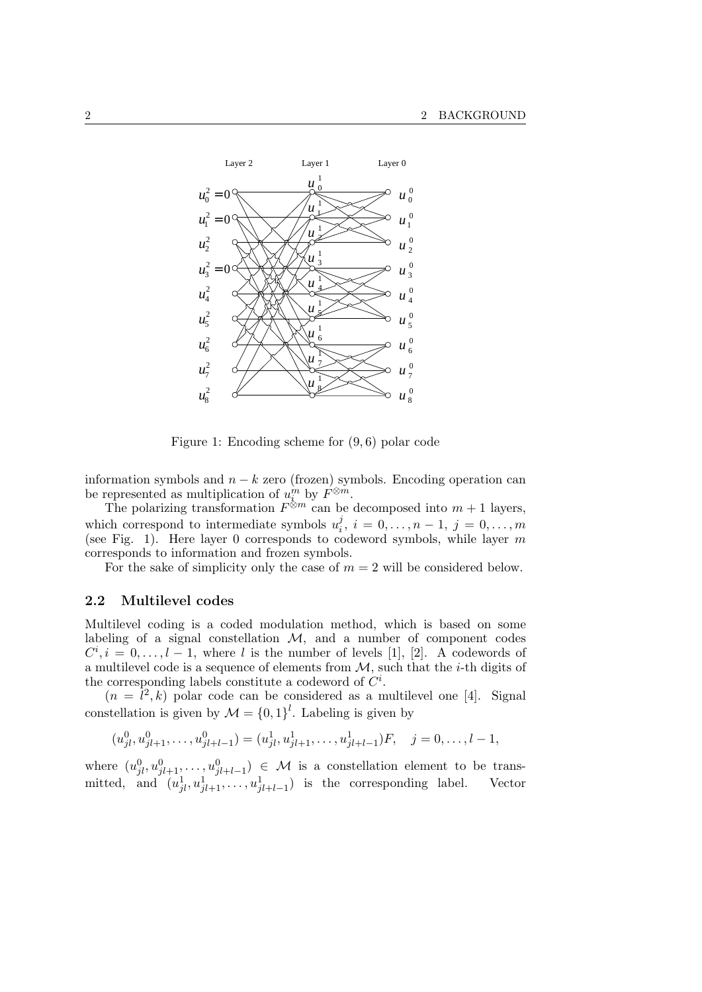

Figure 1: Encoding scheme for (9*,* 6) polar code

information symbols and  $n - k$  zero (frozen) symbols. Encoding operation can be represented as multiplication of  $u_{\ell}^{m}$  by  $F^{\otimes m}$ .

The polarizing transformation  $F^{\otimes m}$  can be decomposed into  $m+1$  layers, which correspond to intermediate symbols  $u_i^j$  $a_i^j, i = 0, \ldots, n-1, j = 0, \ldots, m$ (see Fig. 1). Here layer 0 corresponds to codeword symbols, while layer *m* corresponds to information and frozen symbols.

For the sake of simplicity only the case of  $m = 2$  will be considered below.

#### **2.2 Multilevel codes**

Multilevel coding is a coded modulation method, which is based on some labeling of a signal constellation *M*, and a number of component codes  $C^i, i = 0, \ldots, l - 1$ , where *l* is the number of levels [1], [2]. A codewords of a multilevel code is a sequence of elements from *M*, such that the *i*-th digits of the corresponding labels constitute a codeword of  $C^i$ .

 $(n = \bar{l}^2, k)$  polar code can be considered as a multilevel one [4]. Signal constellation is given by  $\mathcal{M} = \{0, 1\}^l$ . Labeling is given by

$$
(u_{jl}^0, u_{jl+1}^0, \dots, u_{jl+l-1}^0) = (u_{jl}^1, u_{jl+1}^1, \dots, u_{jl+l-1}^1)F, \quad j = 0, \dots, l-1,
$$

where  $(u_{jl}^0, u_{jl+1}^0, \ldots, u_{jl+l-1}^0) \in \mathcal{M}$  is a constellation element to be transmitted, and  $(u_{jl}^1, u_{jl+1}^1, \ldots, u_{jl+l-1}^1)$  is the corresponding label. Vector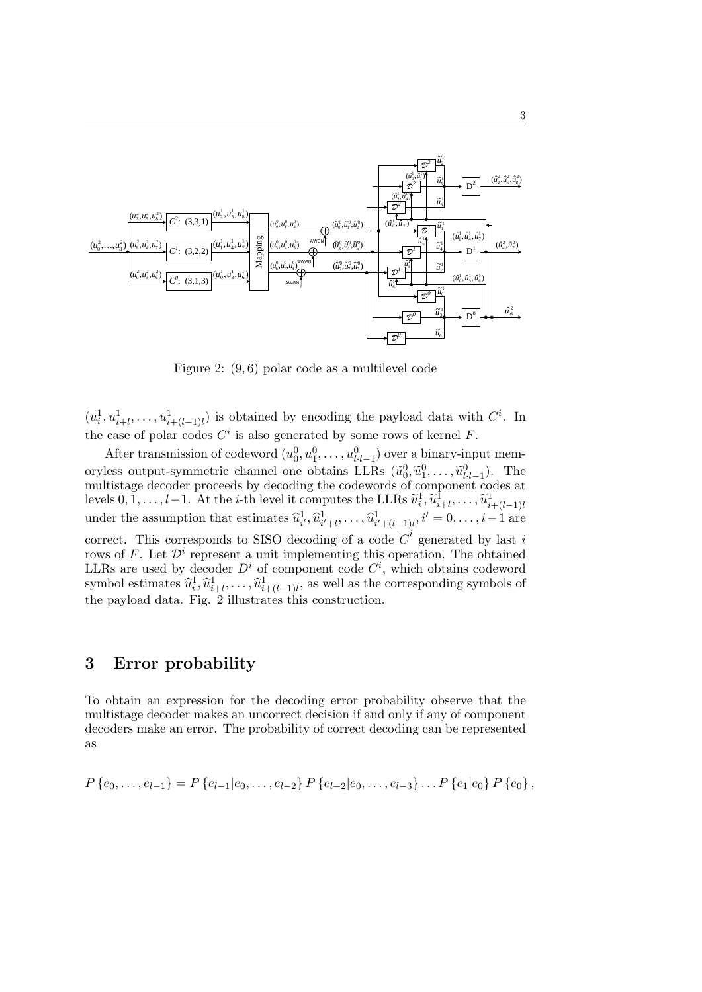

Figure 2: (9*,* 6) polar code as a multilevel code

 $(u_i^1, u_{i+l}^1, \ldots, u_{i+(l-1)l}^1)$  is obtained by encoding the payload data with  $C^i$ . In the case of polar codes  $C^i$  is also generated by some rows of kernel  $F$ .

After transmission of codeword  $(u_0^0, u_1^0, \ldots, u_{l-l-1}^0)$  over a binary-input mem*l·l−*1 oryless output-symmetric channel one obtains LLRs  $(\tilde{u}_0^0, \tilde{u}_1^0, \ldots, \tilde{u}_{l-l-1}^0)$ . The multistage decoder proceeds by decoding the codewords of component codes at levels  $0, \overline{1}, \ldots, l-1$ . At the *i*-th level it computes the LLRs  $\widetilde{u}_i^1, \widetilde{u}_{i+l}^1, \ldots, \widetilde{u}_{i+(l-1)l}^1$ under the assumption that estimates  $\hat{u}_{i'}^1, \hat{u}_{i'+l}^1, \dots, \hat{u}_{i'+(l-1)l}^1, i'=0, \dots, i-1$  are correct. This corresponds to SISO decoding of a code  $\overline{C}^i$  generated by last *i* rows of  $F$ . Let  $\mathcal{D}^i$  represent a unit implementing this operation. The obtained LLRs are used by decoder  $D^i$  of component code  $C^i$ , which obtains codeword symbol estimates  $\hat{u}_i^1, \hat{u}_{i+l}^1, \dots, \hat{u}_{i+(l-1)l}^1$ , as well as the corresponding symbols of the payload data. Fig. 2 illustrates this construction.

# **3 Error probability**

To obtain an expression for the decoding error probability observe that the multistage decoder makes an uncorrect decision if and only if any of component decoders make an error. The probability of correct decoding can be represented as

$$
P\left\{e_0,\ldots,e_{l-1}\right\} = P\left\{e_{l-1}|e_0,\ldots,e_{l-2}\right\} P\left\{e_{l-2}|e_0,\ldots,e_{l-3}\right\} \ldots P\left\{e_1|e_0\right\} P\left\{e_0\right\},\,
$$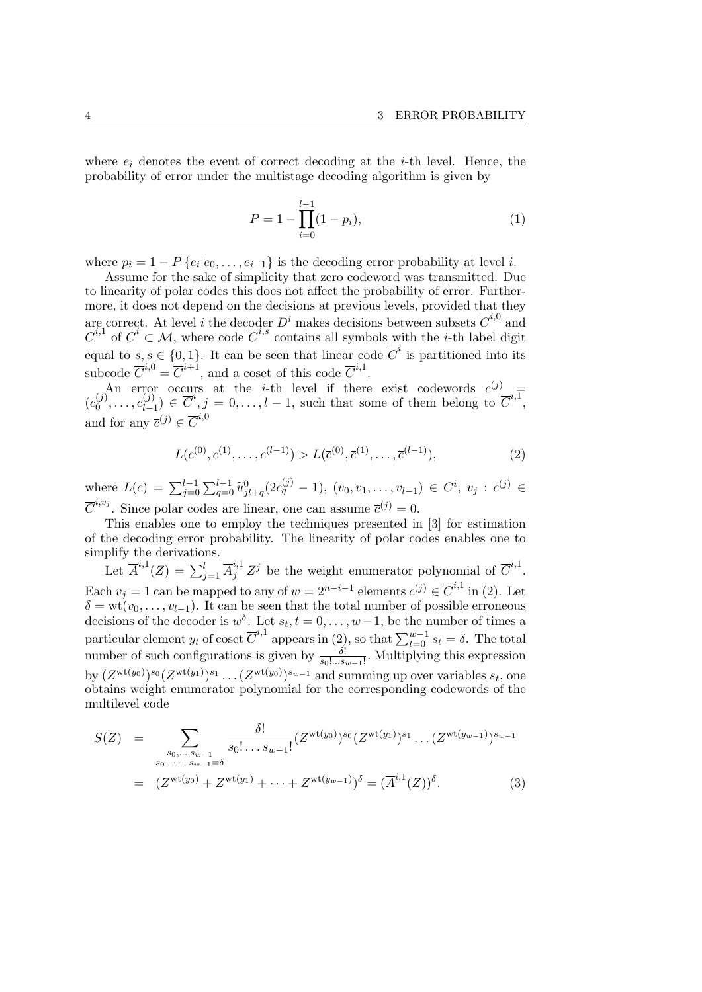where  $e_i$  denotes the event of correct decoding at the *i*-th level. Hence, the probability of error under the multistage decoding algorithm is given by

$$
P = 1 - \prod_{i=0}^{l-1} (1 - p_i),
$$
\n(1)

where  $p_i = 1 - P\{e_i | e_0, \ldots, e_{i-1}\}$  is the decoding error probability at level *i*.

Assume for the sake of simplicity that zero codeword was transmitted. Due to linearity of polar codes this does not affect the probability of error. Furthermore, it does not depend on the decisions at previous levels, provided that they are correct. At level *i* the decoder  $D^i$  makes decisions between subsets  $\overline{C}^{i,0}$  and  $\overline{C}^{i,1}$  of  $\overline{C}^i \subset M$ , where code  $\overline{C}^{i,s}$  contains all symbols with the *i*-th label digit equal to  $s, s \in \{0, 1\}$ . It can be seen that linear code  $\overline{C}^i$  is partitioned into its subcode  $\overline{C}^{i,0} = \overline{C}^{i+1}$ , and a coset of this code  $\overline{C}^{i,1}$ .

An error occurs at the *i*-th level if there exist codewords  $c^{(j)}$  $(c_0^{(j)}$  $c_0^{(j)}, \ldots, c_{l-1}^{(j)}$  $\overline{C}$ <sup>*i*</sup>,  $j = 0, \ldots, l - 1$ , such that some of them belong to  $\overline{C}$ <sup>*i,*1</sup>, and for any  $\overline{c}^{(j)} \in \overline{C}^{i,0}$ 

$$
L(c^{(0)}, c^{(1)}, \dots, c^{(l-1)}) > L(\overline{c}^{(0)}, \overline{c}^{(1)}, \dots, \overline{c}^{(l-1)}),
$$
\n<sup>(2)</sup>

where  $L(c) = \sum_{j=0}^{l-1} \sum_{q=0}^{l-1} \tilde{u}_{jl+q}^0(2c_q^{(j)} - 1)$ ,  $(v_0, v_1, \ldots, v_{l-1}) \in C^i$ ,  $v_j : c^{(j)} \in$  $\overline{C}^{i,v_j}$ . Since polar codes are linear, one can assume  $\overline{c}^{(j)} = 0$ .

This enables one to employ the techniques presented in [3] for estimation of the decoding error probability. The linearity of polar codes enables one to simplify the derivations.

Let  $\overline{A}^{i,1}(Z) = \sum_{j=1}^{l} \overline{A}^{i,1}_{j} Z^{j}$  be the weight enumerator polynomial of  $\overline{C}^{i,1}$ . Each  $v_j = 1$  can be mapped to any of  $w = 2^{n-i-1}$  elements  $c^{(j)} \in \overline{C}^{i,1}$  in (2). Let  $\delta = \text{wt}(v_0, \ldots, v_{l-1})$ . It can be seen that the total number of possible erroneous decisions of the decoder is  $w^{\delta}$ . Let  $s_t, t = 0, \ldots, w-1$ , be the number of times a particular element  $y_t$  of coset  $\overline{C}^{i,1}$  appears in (2), so that  $\sum_{t=0}^{w-1} s_t = \delta$ . The total number of such configurations is given by  $\frac{\delta!}{s_0!...s_{w-1}!}$ . Multiplying this expression by  $(Z^{\text{wt}(y_0)})^{s_0} (Z^{\text{wt}(y_1)})^{s_1} \dots (Z^{\text{wt}(y_0)})^{s_{w-1}}$  and summing up over variables  $s_t$ , one obtains weight enumerator polynomial for the corresponding codewords of the multilevel code

$$
S(Z) = \sum_{\substack{s_0, \dots, s_{w-1} \\ s_0 + \dots + s_{w-1} = \delta}} \frac{\delta!}{s_0! \dots s_{w-1}!} (Z^{\text{wt}(y_0)})^{s_0} (Z^{\text{wt}(y_1)})^{s_1} \dots (Z^{\text{wt}(y_{w-1})})^{s_{w-1}}
$$
  
= 
$$
(Z^{\text{wt}(y_0)} + Z^{\text{wt}(y_1)} + \dots + Z^{\text{wt}(y_{w-1})})^{\delta} = (\overline{A}^{i,1}(Z))^{\delta}.
$$
 (3)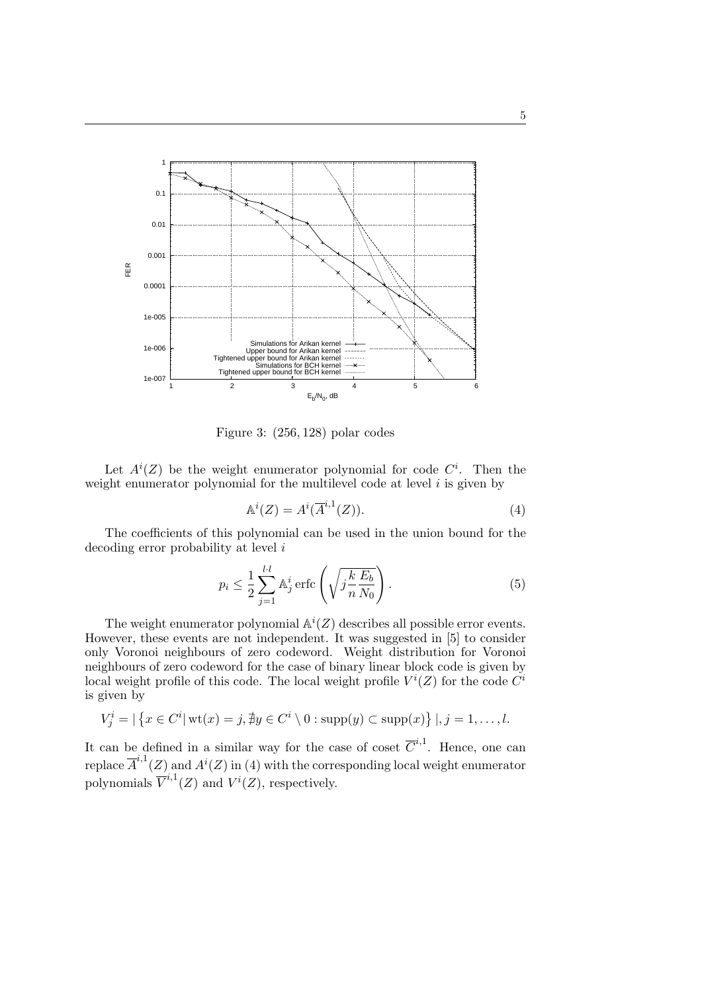

Figure 3: (256*,* 128) polar codes

Let  $A^{i}(Z)$  be the weight enumerator polynomial for code  $C^{i}$ . Then the weight enumerator polynomial for the multilevel code at level *i* is given by

*i,*1

$$
\mathbb{A}^i(Z) = A^i(\overline{A}^{i,1}(Z)).\tag{4}
$$

The coefficients of this polynomial can be used in the union bound for the decoding error probability at level *i*

$$
p_i \le \frac{1}{2} \sum_{j=1}^{l \cdot l} \mathbb{A}_j^i \operatorname{erfc} \left( \sqrt{j \frac{k}{n} \frac{E_b}{N_0}} \right). \tag{5}
$$

The weight enumerator polynomial  $\mathbb{A}^i(Z)$  describes all possible error events. However, these events are not independent. It was suggested in [5] to consider only Voronoi neighbours of zero codeword. Weight distribution for Voronoi neighbours of zero codeword for the case of binary linear block code is given by local weight profile of this code. The local weight profile  $V^i(Z)$  for the code  $\tilde{C}^i$ is given by

$$
V_j^i = |\{x \in C^i | \text{wt}(x) = j, \nexists y \in C^i \setminus 0 : \text{supp}(y) \subset \text{supp}(x)\}|, j = 1, \dots, l.
$$

It can be defined in a similar way for the case of coset  $\overline{C}^{i,1}$ . Hence, one can replace  $\overline{A}^{i,1}(Z)$  and  $A^{i}(Z)$  in (4) with the corresponding local weight enumerator polynomials  $\overline{V}^{i,1}(Z)$  and  $V^{i}(Z)$ , respectively.